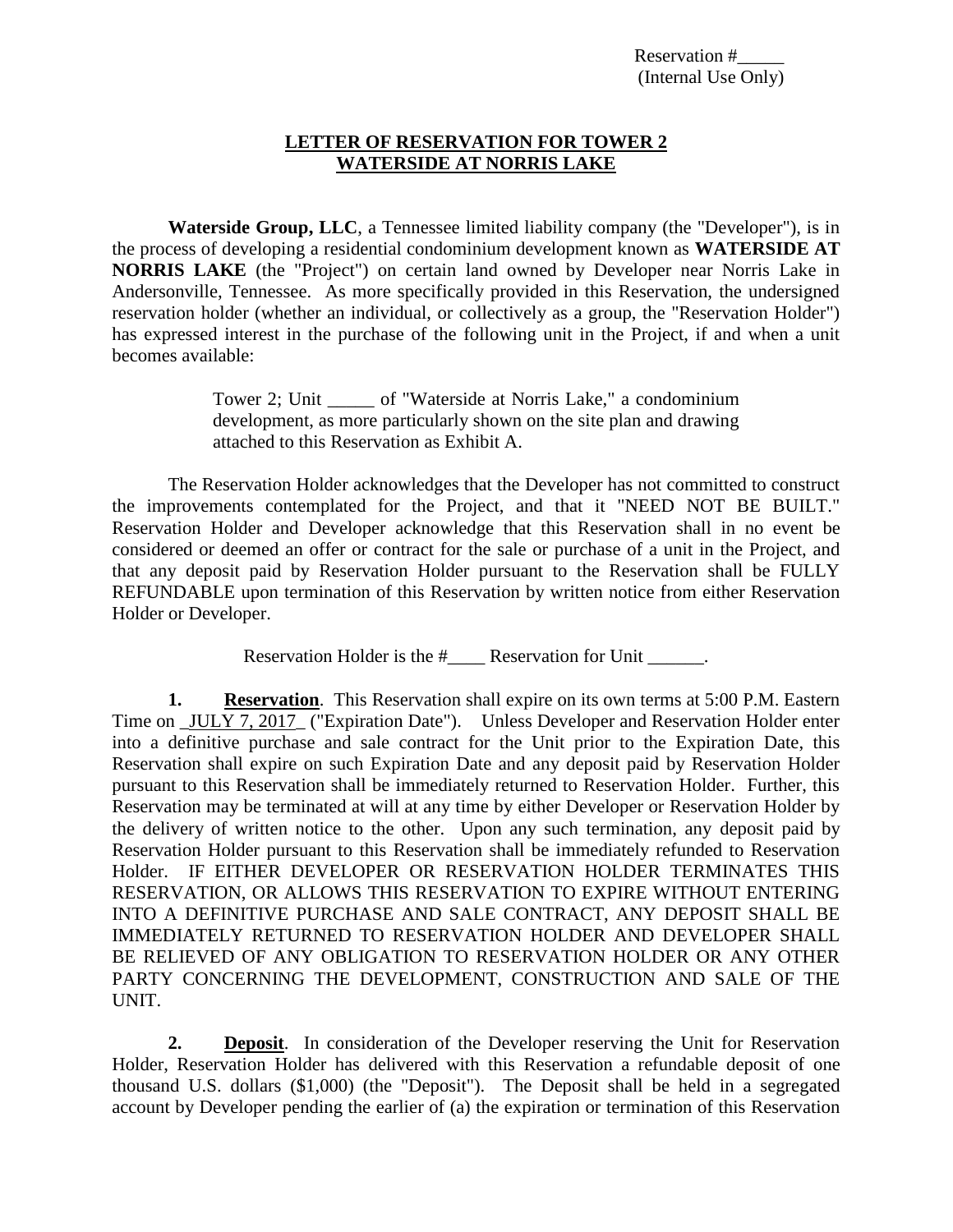### **LETTER OF RESERVATION FOR TOWER 2 WATERSIDE AT NORRIS LAKE**

**Waterside Group, LLC**, a Tennessee limited liability company (the "Developer"), is in the process of developing a residential condominium development known as **WATERSIDE AT NORRIS LAKE** (the "Project") on certain land owned by Developer near Norris Lake in Andersonville, Tennessee. As more specifically provided in this Reservation, the undersigned reservation holder (whether an individual, or collectively as a group, the "Reservation Holder") has expressed interest in the purchase of the following unit in the Project, if and when a unit becomes available:

> Tower 2; Unit \_\_\_\_\_ of "Waterside at Norris Lake," a condominium development, as more particularly shown on the site plan and drawing attached to this Reservation as Exhibit A.

The Reservation Holder acknowledges that the Developer has not committed to construct the improvements contemplated for the Project, and that it "NEED NOT BE BUILT." Reservation Holder and Developer acknowledge that this Reservation shall in no event be considered or deemed an offer or contract for the sale or purchase of a unit in the Project, and that any deposit paid by Reservation Holder pursuant to the Reservation shall be FULLY REFUNDABLE upon termination of this Reservation by written notice from either Reservation Holder or Developer.

Reservation Holder is the #\_\_\_\_\_\_ Reservation for Unit \_\_\_\_\_\_.

**1. Reservation**. This Reservation shall expire on its own terms at 5:00 P.M. Eastern Time on JULY 7, 2017 ("Expiration Date"). Unless Developer and Reservation Holder enter into a definitive purchase and sale contract for the Unit prior to the Expiration Date, this Reservation shall expire on such Expiration Date and any deposit paid by Reservation Holder pursuant to this Reservation shall be immediately returned to Reservation Holder. Further, this Reservation may be terminated at will at any time by either Developer or Reservation Holder by the delivery of written notice to the other. Upon any such termination, any deposit paid by Reservation Holder pursuant to this Reservation shall be immediately refunded to Reservation Holder. IF EITHER DEVELOPER OR RESERVATION HOLDER TERMINATES THIS RESERVATION, OR ALLOWS THIS RESERVATION TO EXPIRE WITHOUT ENTERING INTO A DEFINITIVE PURCHASE AND SALE CONTRACT, ANY DEPOSIT SHALL BE IMMEDIATELY RETURNED TO RESERVATION HOLDER AND DEVELOPER SHALL BE RELIEVED OF ANY OBLIGATION TO RESERVATION HOLDER OR ANY OTHER PARTY CONCERNING THE DEVELOPMENT, CONSTRUCTION AND SALE OF THE UNIT.

**2. Deposit**. In consideration of the Developer reserving the Unit for Reservation Holder, Reservation Holder has delivered with this Reservation a refundable deposit of one thousand U.S. dollars (\$1,000) (the "Deposit"). The Deposit shall be held in a segregated account by Developer pending the earlier of (a) the expiration or termination of this Reservation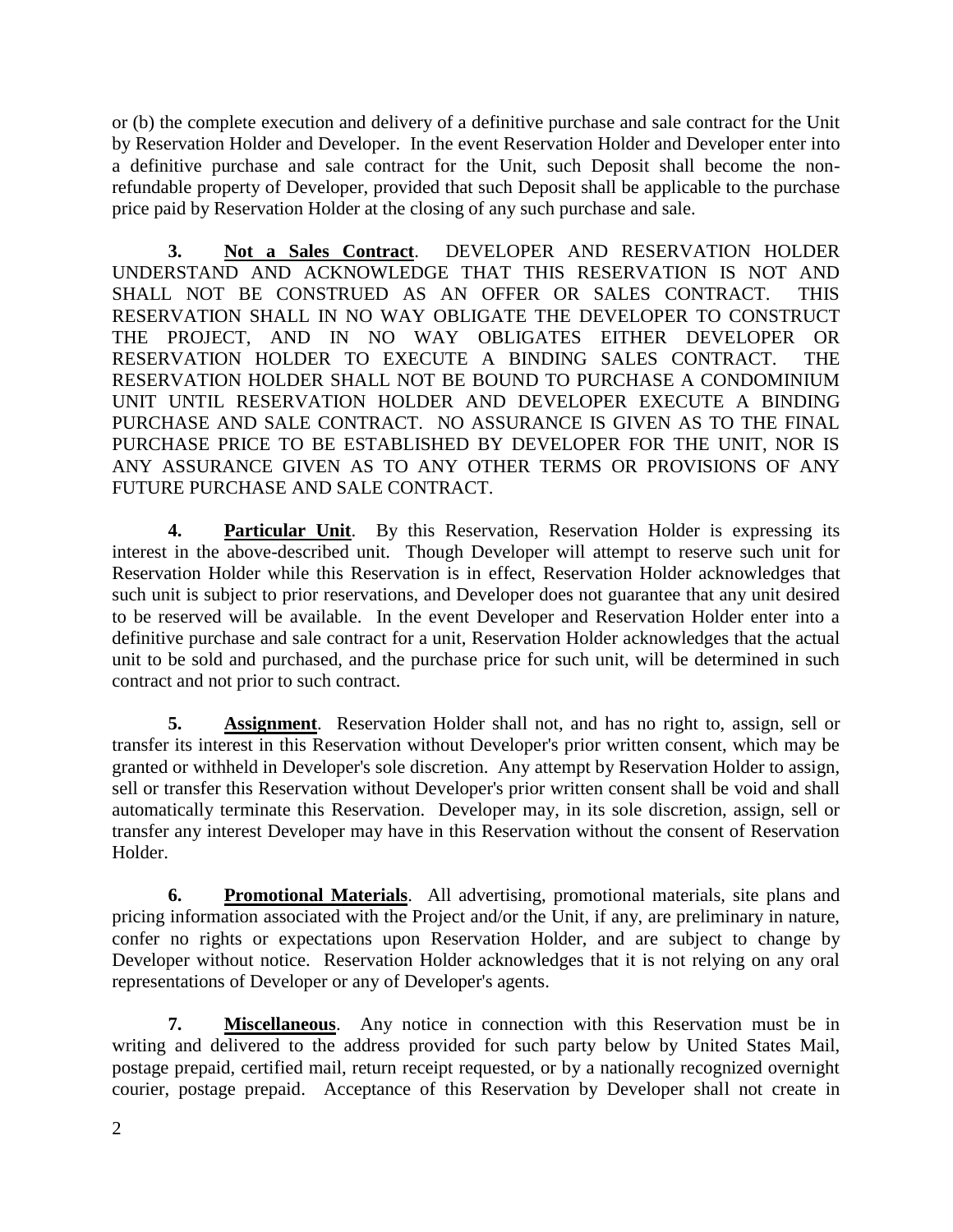or (b) the complete execution and delivery of a definitive purchase and sale contract for the Unit by Reservation Holder and Developer. In the event Reservation Holder and Developer enter into a definitive purchase and sale contract for the Unit, such Deposit shall become the nonrefundable property of Developer, provided that such Deposit shall be applicable to the purchase price paid by Reservation Holder at the closing of any such purchase and sale.

**3. Not a Sales Contract**. DEVELOPER AND RESERVATION HOLDER UNDERSTAND AND ACKNOWLEDGE THAT THIS RESERVATION IS NOT AND SHALL NOT BE CONSTRUED AS AN OFFER OR SALES CONTRACT. THIS RESERVATION SHALL IN NO WAY OBLIGATE THE DEVELOPER TO CONSTRUCT THE PROJECT, AND IN NO WAY OBLIGATES EITHER DEVELOPER OR RESERVATION HOLDER TO EXECUTE A BINDING SALES CONTRACT. THE RESERVATION HOLDER SHALL NOT BE BOUND TO PURCHASE A CONDOMINIUM UNIT UNTIL RESERVATION HOLDER AND DEVELOPER EXECUTE A BINDING PURCHASE AND SALE CONTRACT. NO ASSURANCE IS GIVEN AS TO THE FINAL PURCHASE PRICE TO BE ESTABLISHED BY DEVELOPER FOR THE UNIT, NOR IS ANY ASSURANCE GIVEN AS TO ANY OTHER TERMS OR PROVISIONS OF ANY FUTURE PURCHASE AND SALE CONTRACT.

**4. Particular Unit**. By this Reservation, Reservation Holder is expressing its interest in the above-described unit. Though Developer will attempt to reserve such unit for Reservation Holder while this Reservation is in effect, Reservation Holder acknowledges that such unit is subject to prior reservations, and Developer does not guarantee that any unit desired to be reserved will be available. In the event Developer and Reservation Holder enter into a definitive purchase and sale contract for a unit, Reservation Holder acknowledges that the actual unit to be sold and purchased, and the purchase price for such unit, will be determined in such contract and not prior to such contract.

**5. Assignment**. Reservation Holder shall not, and has no right to, assign, sell or transfer its interest in this Reservation without Developer's prior written consent, which may be granted or withheld in Developer's sole discretion. Any attempt by Reservation Holder to assign, sell or transfer this Reservation without Developer's prior written consent shall be void and shall automatically terminate this Reservation. Developer may, in its sole discretion, assign, sell or transfer any interest Developer may have in this Reservation without the consent of Reservation Holder.

**6. Promotional Materials**. All advertising, promotional materials, site plans and pricing information associated with the Project and/or the Unit, if any, are preliminary in nature, confer no rights or expectations upon Reservation Holder, and are subject to change by Developer without notice. Reservation Holder acknowledges that it is not relying on any oral representations of Developer or any of Developer's agents.

**7. Miscellaneous**. Any notice in connection with this Reservation must be in writing and delivered to the address provided for such party below by United States Mail, postage prepaid, certified mail, return receipt requested, or by a nationally recognized overnight courier, postage prepaid. Acceptance of this Reservation by Developer shall not create in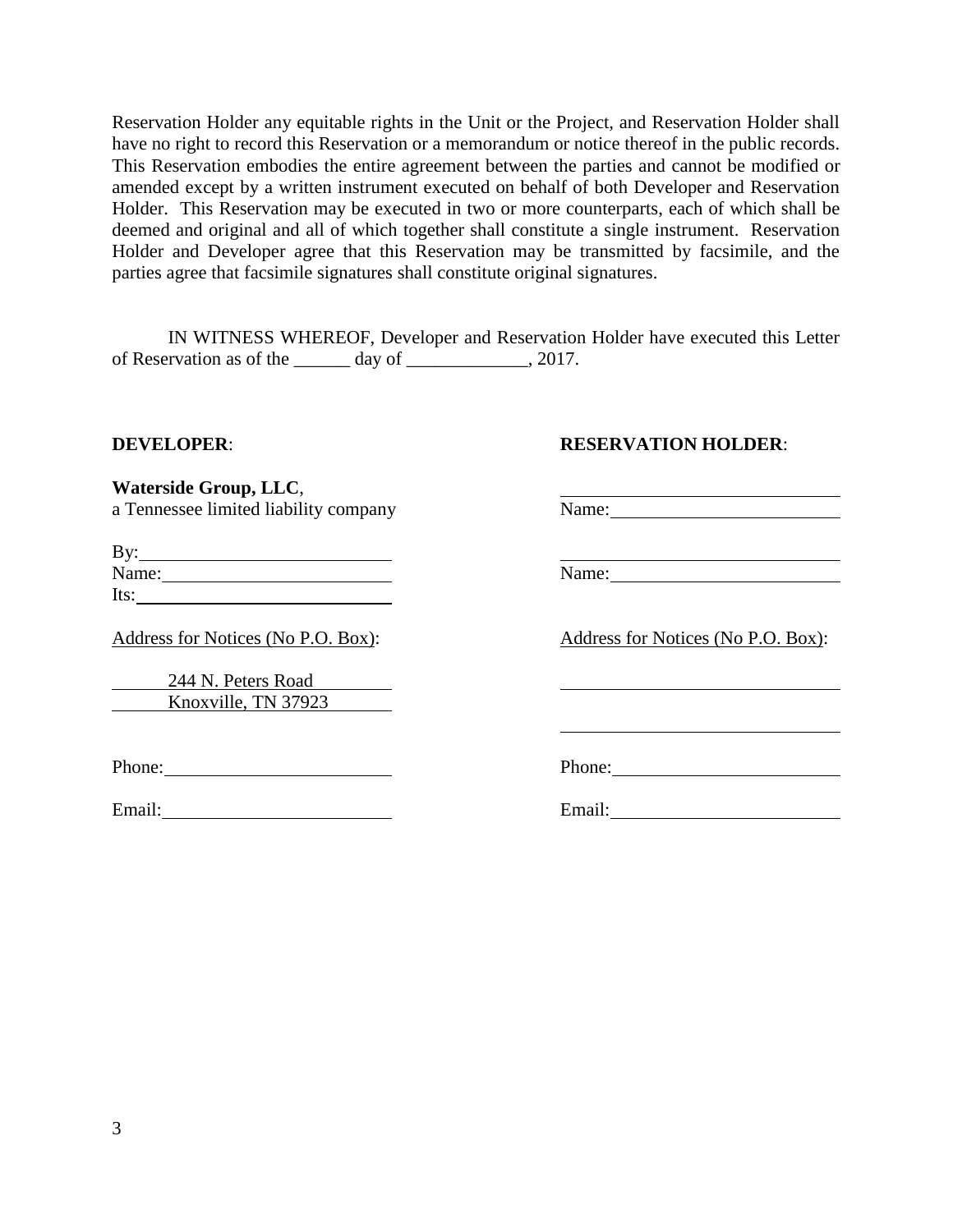Reservation Holder any equitable rights in the Unit or the Project, and Reservation Holder shall have no right to record this Reservation or a memorandum or notice thereof in the public records. This Reservation embodies the entire agreement between the parties and cannot be modified or amended except by a written instrument executed on behalf of both Developer and Reservation Holder. This Reservation may be executed in two or more counterparts, each of which shall be deemed and original and all of which together shall constitute a single instrument. Reservation Holder and Developer agree that this Reservation may be transmitted by facsimile, and the parties agree that facsimile signatures shall constitute original signatures.

IN WITNESS WHEREOF, Developer and Reservation Holder have executed this Letter of Reservation as of the  $\_\_\_\_$  day of  $\_\_\_\_\_\_\_$ , 2017.

#### **DEVELOPER**: **RESERVATION HOLDER**:

**Waterside Group, LLC**, a Tennessee limited liability company Name: Name:

| By:   |  |  |
|-------|--|--|
| Name: |  |  |
| Its:  |  |  |

Address for Notices (No P.O. Box): Address for Notices (No P.O. Box):

244 N. Peters Road Knoxville, TN 37923

Email: Email: Email: Email: Email: Email: Email: Email: Email: Email: Email: Email: Email: Email: Email: Email: Email: Email: Email: Email: Email: Email: Email: Email: Email: Email: Email: Email: Email: Email: Email: Email

Name: Name:

Phone: Phone: Phone: Phone: Phone: Phone: Phone: Phone: Phone: Phone: Phone: Phone: Phone: Phone: Phone: Phone: Phone: Phone: Phone: Phone: Phone: Phone: Phone: Phone: Phone: Phone: Phone: Phone: Phone: Phone: Phone: Phone